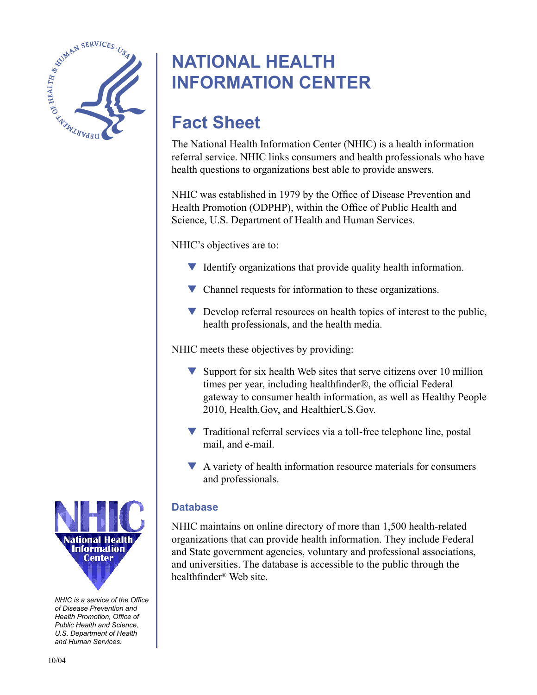

# **NATIONAL HEALTH INFORMATION CENTER**

# **Fact Sheet**

The National Health Information Center (NHIC) is a health information referral service. NHIC links consumers and health professionals who have health questions to organizations best able to provide answers.

NHIC was established in 1979 by the Office of Disease Prevention and Health Promotion (ODPHP), within the Office of Public Health and Science, U.S. Department of Health and Human Services.

NHIC's objectives are to:

- $\blacktriangledown$  Identify organizations that provide quality health information.
- ▼ Channel requests for information to these organizations.
- ▼ Develop referral resources on health topics of interest to the public, health professionals, and the health media.

NHIC meets these objectives by providing:

- $\blacktriangledown$  Support for six health Web sites that serve citizens over 10 million times per year, including healthfinder®, the official Federal gateway to consumer health information, as well as Healthy People 2010, Health.Gov, and HealthierUS.Gov.
- ▼ Traditional referral services via a toll-free telephone line, postal mail, and e-mail.
- ▼ A variety of health information resource materials for consumers and professionals.

# **Database**

NHIC maintains on online directory of more than 1,500 health-related organizations that can provide health information. They include Federal and State government agencies, voluntary and professional associations, and universities. The database is accessible to the public through the healthfinder® Web site.



*NHIC is a service of the Office of Disease Prevention and Health Promotion, Office of Public Health and Science, U.S. Department of Health and Human Services.*